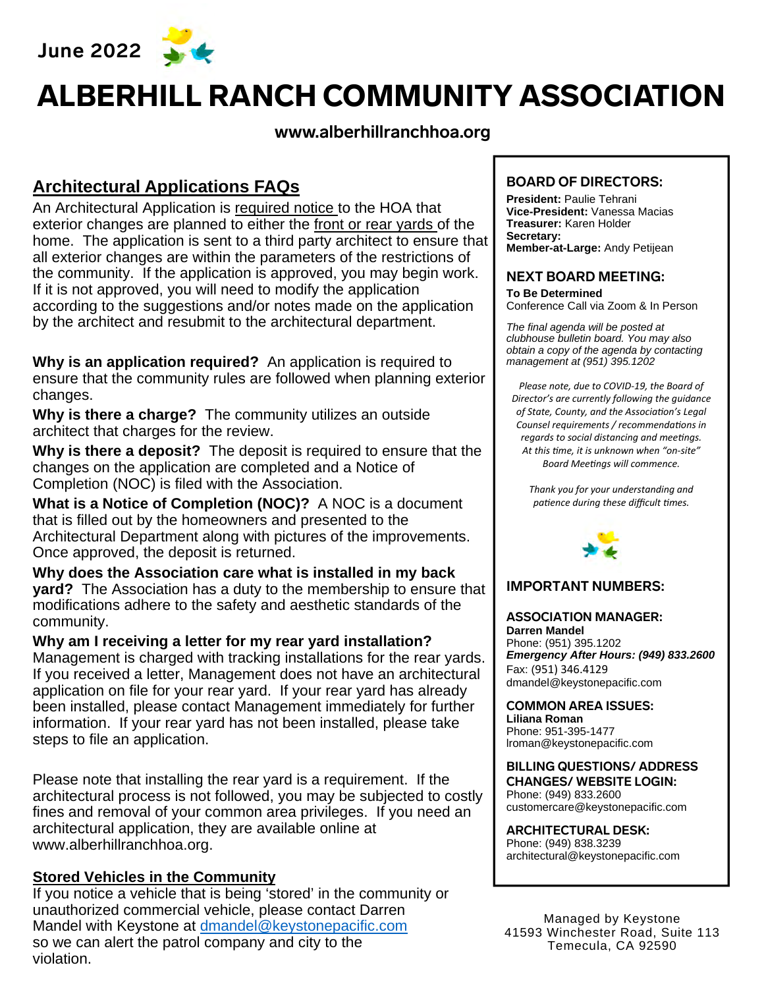**June 2022** 



# ALBERHILL RANCH COMMUNITY ASSOCIATION

#### **www.alberhillranchhoa.org**

### **Architectural Applications FAQs**

An Architectural Application is required notice to the HOA that exterior changes are planned to either the front or rear vards of the home. The application is sent to a third party architect to ensure that all exterior changes are within the parameters of the restrictions of the community. If the application is approved, you may begin work. If it is not approved, you will need to modify the application according to the suggestions and/or notes made on the application by the architect and resubmit to the architectural department.

**Why is an application required?** An application is required to ensure that the community rules are followed when planning exterior changes.

**Why is there a charge?** The community utilizes an outside architect that charges for the review.

**Why is there a deposit?** The deposit is required to ensure that the changes on the application are completed and a Notice of Completion (NOC) is filed with the Association.

**What is a Notice of Completion (NOC)?** A NOC is a document that is filled out by the homeowners and presented to the Architectural Department along with pictures of the improvements. Once approved, the deposit is returned.

**Why does the Association care what is installed in my back yard?** The Association has a duty to the membership to ensure that modifications adhere to the safety and aesthetic standards of the community.

**Why am I receiving a letter for my rear yard installation?** Management is charged with tracking installations for the rear yards. If you received a letter, Management does not have an architectural application on file for your rear yard. If your rear yard has already been installed, please contact Management immediately for further information. If your rear yard has not been installed, please take steps to file an application.

Please note that installing the rear yard is a requirement. If the architectural process is not followed, you may be subjected to costly fines and removal of your common area privileges. If you need an architectural application, they are available online at www.alberhillranchhoa.org.

#### **Stored Vehicles in the Community**

If you notice a vehicle that is being 'stored' in the community or unauthorized commercial vehicle, please contact Darren Mandel with Keystone at dmandel@keystonepacific.com so we can alert the patrol company and city to the violation.

#### **BOARD OF DIRECTORS:**

**President:** Paulie Tehrani **Vice-President:** Vanessa Macias **Treasurer:** Karen Holder **Secretary: Member-at-Large:** Andy Petijean

#### **NEXT BOARD MEETING:**

**To Be Determined**  Conference Call via Zoom & In Person

*The final agenda will be posted at clubhouse bulletin board. You may also obtain a copy of the agenda by contacting management at (951) 395.1202* 

*Please note, due to COVID‐19, the Board of Director's are currently following the guidance of State, County, and the Association's Legal Counsel requirements / recommendaƟons in regards to social distancing and meetings. At this Ɵme, it is unknown when "on‐site"*  **Board Meetings will commence.** 

*Thank you for your understanding and paƟence during these difficult Ɵmes.*



#### **IMPORTANT NUMBERS:**

**ASSOCIATION MANAGER: Darren Mandel** Phone: (951) 395.1202 *Emergency After Hours: (949) 833.2600* Fax: (951) 346.4129 dmandel@keystonepacific.com

**COMMON AREA ISSUES: Liliana Roman** Phone: 951-395-1477 lroman@keystonepacific.com

**BILLING QUESTIONS/ ADDRESS CHANGES/ WEBSITE LOGIN:** Phone: (949) 833.2600 customercare@keystonepacific.com

**ARCHITECTURAL DESK:** Phone: (949) 838.3239 architectural@keystonepacific.com

Managed by Keystone 41593 Winchester Road, Suite 113 Temecula, CA 92590